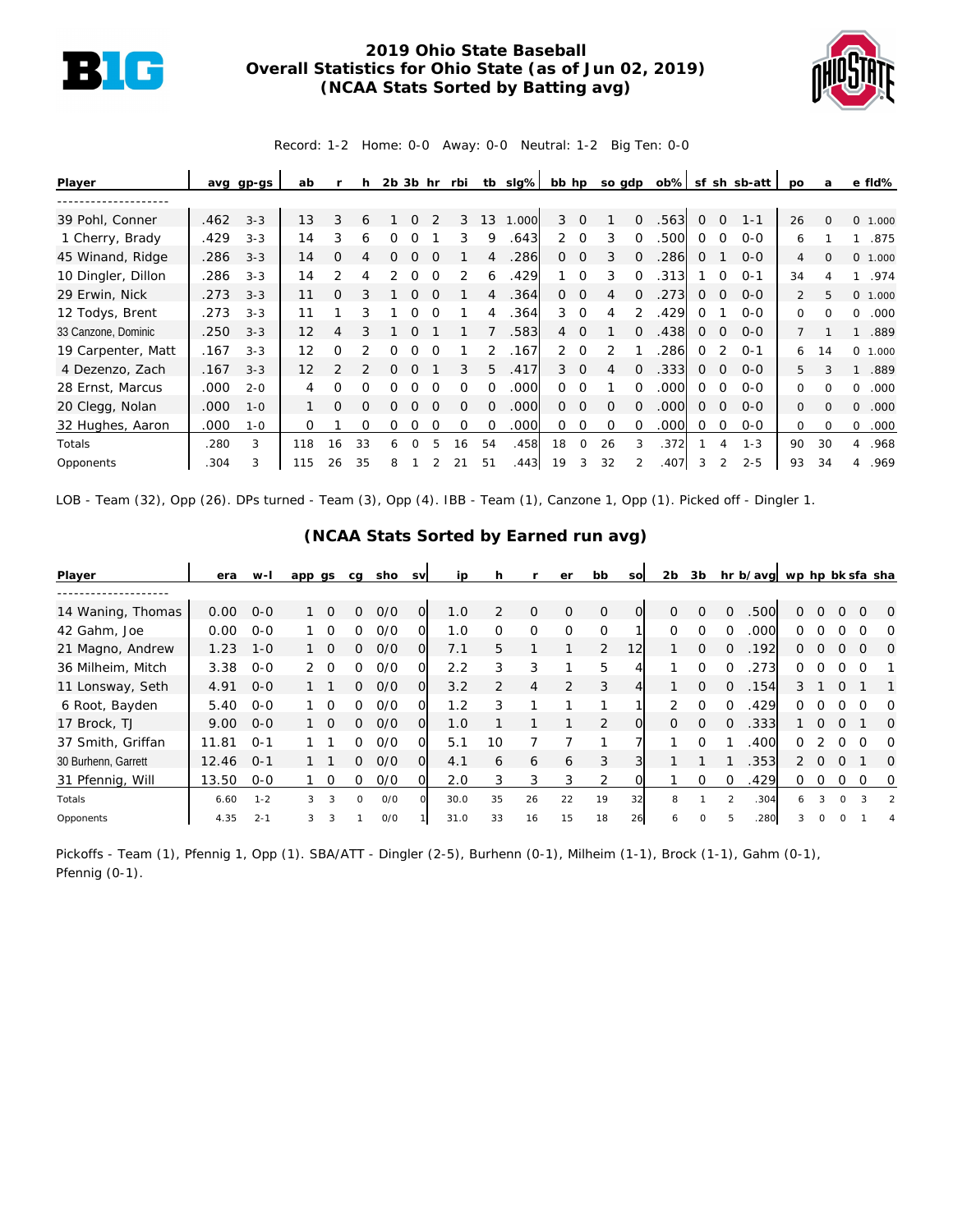

## **2019 Ohio State Baseball Overall Statistics for Ohio State (as of Jun 02, 2019) (NCAA Stats Sorted by Batting avg)**



Record: 1-2 Home: 0-0 Away: 0-0 Neutral: 1-2 Big Ten: 0-0

| Player              | avg  | gp-gs   | ab       |               |          | 2b | 3b       | hr | rbi      | tb       | slg%  | bb hp          |                | so gdp   |          | ob%  |   |          | sf sh sb-att | po           | a        | e fld%                |
|---------------------|------|---------|----------|---------------|----------|----|----------|----|----------|----------|-------|----------------|----------------|----------|----------|------|---|----------|--------------|--------------|----------|-----------------------|
|                     |      |         |          |               |          |    |          |    |          |          |       |                |                |          |          |      |   |          |              |              |          |                       |
| 39 Pohl, Conner     | .462 | $3 - 3$ | 13       | 3             | 6        |    |          |    | 3        | 13       | 1.000 | 3              | $\Omega$       |          | $\Omega$ | 563  | 0 | $\Omega$ | $1 - 1$      | 26           | $\Omega$ | $\mathbf{O}$<br>1.000 |
| 1 Cherry, Brady     | .429 | $3 - 3$ | 14       | 3             | 6        |    |          |    | 3        | 9        | .643  | $\overline{2}$ | $\Omega$       | 3        |          | .500 | 0 | $\Omega$ | $O-O$        | 6            |          | .875                  |
| 45 Winand, Ridge    | .286 | $3 - 3$ | 14       | Ω             |          | 0  | O        |    |          | 4        | 286   | O              | $\overline{0}$ | 3        | $\Omega$ | 286  | 0 |          | $O - O$      | 4            | $\Omega$ | 0 1.000               |
| 10 Dingler, Dillon  | .286 | $3 - 3$ | 14       | っ             |          |    |          |    |          | 6        | 429   |                | $\Omega$       | 3        | $\Omega$ | 313  |   | O        | $O - 1$      | 34           |          | .974                  |
| 29 Erwin, Nick      | .273 | $3 - 3$ | 11       | O             |          |    |          |    |          |          | .364  | $\Omega$       | $\Omega$       | 4        | $\Omega$ | .273 | 0 | $\Omega$ | $0 - 0$      | 2            | 5        | 0 1.000               |
| 12 Todys, Brent     | .273 | $3 - 3$ | 11       |               | 3        |    | Ω        |    |          | 4        | .364  | 3              | $\Omega$       | 4        | 2        | .429 | Ω |          | $0 - 0$      | $\Omega$     | $\Omega$ | .000<br>$\Omega$      |
| 33 Canzone, Dominic | .250 | $3 - 3$ | 12       | 4             | 3        |    |          |    |          |          | .583  | $\overline{4}$ | $\Omega$       |          | 0        | .438 | 0 | $\Omega$ | $O-O$        |              |          | .889                  |
| 19 Carpenter, Matt  | .167 | $3 - 3$ | 12       | O             |          | 0  |          |    |          | 2        | .167  | $\overline{2}$ | $\Omega$       |          |          | .286 | 0 |          | $O - 1$      | 6            | 14       | $\Omega$<br>1.000     |
| 4 Dezenzo, Zach     | .167 | $3 - 3$ | 12       | $\mathcal{P}$ |          |    |          |    | 3        | 5.       | .417  |                | $3 \quad 0$    | 4        | $\Omega$ | .333 | 0 | $\Omega$ | $O-O$        | 5            |          | .889                  |
| 28 Ernst, Marcus    | .000 | $2 - 0$ | 4        | O             | O        |    |          |    |          |          | .000  | 0              | $\Omega$       |          |          | .000 | 0 | ∩        | $O-O$        | $\Omega$     |          | .000<br>$\Omega$      |
| 20 Clegg, Nolan     | .000 | $1 - 0$ |          | O             | $\Omega$ | O  | O        |    | $\Omega$ | $\Omega$ | .000  | 0              | $\overline{0}$ | $\Omega$ | $\Omega$ | .000 | 0 | $\Omega$ | $0 - 0$      | $\mathbf{0}$ | $\cap$   | $\Omega$<br>.000      |
| 32 Hughes, Aaron    | .000 | $1 - 0$ | $\Omega$ |               | O        | 0  | Ω        |    | O        | $\Omega$ | .000  | 0              | $\Omega$       | $\Omega$ | O        | .000 | Ω | $\Omega$ | $0 - 0$      | 0            | $\Omega$ | .000<br>$\Omega$      |
| Totals              | .280 | 3       | 118      | 16            | 33       | 6  | $\Omega$ | 5. | 16       | 54       | .458  | 18             | 0              | 26       | 3        | .372 |   | 4        | $1 - 3$      | 90           | 30       | .968<br>4             |
| Opponents           | 304  | 3       | 115      | 26            | 35       | 8  |          |    | 21       | 51       | .443  | 19             | 3              | 32       |          | .407 |   |          | $2 - 5$      | 93           | 34       | .969<br>4             |

LOB - Team (32), Opp (26). DPs turned - Team (3), Opp (4). IBB - Team (1), Canzone 1, Opp (1). Picked off - Dingler 1.

| Player              | era   | w-l     | app gs        |                | cg       | sho | <b>SV</b>      | ip   | h             |          | er             | bb             | <b>SO</b> | 2 <sub>b</sub> | 3b       |               | hr b/avg wp hp bk sfa sha |          |          |          |   |               |
|---------------------|-------|---------|---------------|----------------|----------|-----|----------------|------|---------------|----------|----------------|----------------|-----------|----------------|----------|---------------|---------------------------|----------|----------|----------|---|---------------|
|                     |       |         |               |                |          |     |                |      |               |          |                |                |           |                |          |               |                           |          |          |          |   |               |
| 14 Waning, Thomas   | 0.00  | $O - O$ |               | $\bigcirc$     | $\Omega$ | O/O | $\overline{O}$ | 1.0  | $\mathcal{P}$ | $\Omega$ | $\Omega$       | $\mathbf{O}$   | 0         | $\Omega$       | $\Omega$ | $\Omega$      | .500                      | 0        |          | $\Omega$ |   | $\Omega$      |
| 42 Gahm, Joe        | 0.00  | $O - O$ |               | $\Omega$       | ∩        | O/O | Ω              | 1.0  | $\Omega$      | 0        | $\Omega$       | $\Omega$       |           | $\Omega$       | O        | 0             | .000                      | O.       |          |          |   | ∩             |
| 21 Magno, Andrew    | 1.23  | $1 - 0$ |               | $\overline{0}$ | 0        | O/O | O              | 7.1  | 5.            |          |                | $\overline{2}$ | 12        |                | $\Omega$ | $\Omega$      | .192                      | $\Omega$ | $\Omega$ | $\Omega$ | O | $\Omega$      |
| 36 Milheim, Mitch   | 3.38  | $O - O$ | $\mathcal{P}$ | $\Omega$       | O        | O/O | Ω              | 2.2  | 3             | 3        |                | 5              |           |                | $\Omega$ |               | .273                      | 0        |          |          |   |               |
| 11 Lonsway, Seth    | 4.91  | $0 - 0$ |               |                | 0        | O/O | 0              | 3.2  | $\mathcal{P}$ | 4        | $\overline{2}$ | 3              |           |                | $\Omega$ | $\Omega$      | .154                      | 3        |          | $\Omega$ |   |               |
| 6 Root, Bayden      | 5.40  | $O - O$ |               | $\Omega$       | O.       | O/O |                | 1.2  |               |          |                |                |           | $\overline{2}$ | $\Omega$ | $\Omega$      | .429                      | ∩        |          | $\Omega$ |   | $\Omega$      |
| 17 Brock, TJ        | 9.00  | $O - O$ |               | $\bigcirc$     | 0        | O/O | $\Omega$       | 1.0  |               |          |                | 2              | $\Omega$  | $\Omega$       | $\Omega$ | $\Omega$      | .333                      |          | $\Omega$ | $\Omega$ |   | $\Omega$      |
| 37 Smith, Griffan   | 11.81 | $O - 1$ |               |                | O.       | O/O | 0              | 5.1  | 10            |          |                |                |           |                | ∩        |               | .400                      | U        |          | O        |   | $\Omega$      |
| 30 Burhenn, Garrett | 12.46 | $0 - 1$ |               |                | 0        | O/O | O              | 4.1  | 6             | 6        | 6              | 3              |           |                |          |               | .353                      | 2        | $\Omega$ | $\Omega$ |   | $\Omega$      |
| 31 Pfennig, Will    | 13.50 | $0 - 0$ |               | 0              | O        | 0/0 | Ω              | 2.0  | 3             | 3        | 3              | 2              | $\Omega$  |                | $\Omega$ | 0             | .429                      | 0        | $\Omega$ | 0        |   | 0             |
| Totals              | 6.60  | $1 - 2$ | 3             | 3              | $\Omega$ | O/O | $\cap$         | 30.0 | 35            | 26       | 22             | 19             | 32        | 8              |          | $\mathcal{P}$ | .304                      | 6        | 3        | $\Omega$ | 3 | $\mathcal{P}$ |
| Opponents           | 4.35  | $2 - 1$ | 3             | 3              |          | O/O |                | 31.0 | 33            | 16       | 15             | 18             | 26        | 6              | $\Omega$ |               | 280                       | 3        | $\Omega$ | $\circ$  |   |               |

## **(NCAA Stats Sorted by Earned run avg)**

Pickoffs - Team (1), Pfennig 1, Opp (1). SBA/ATT - Dingler (2-5), Burhenn (0-1), Milheim (1-1), Brock (1-1), Gahm (0-1), Pfennig (0-1).